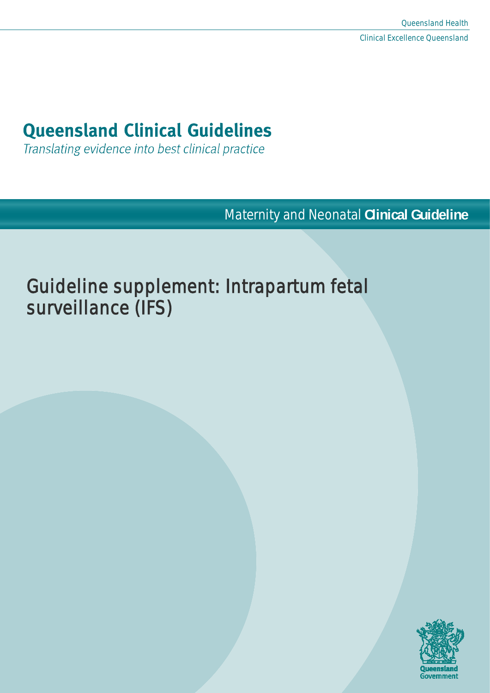# **Queensland Clinical Guidelines**

Translating evidence into best clinical practice

Maternity and Neonatal **Clinical Guideline**

# Guideline supplement: Intrapartum fetal surveillance (IFS)

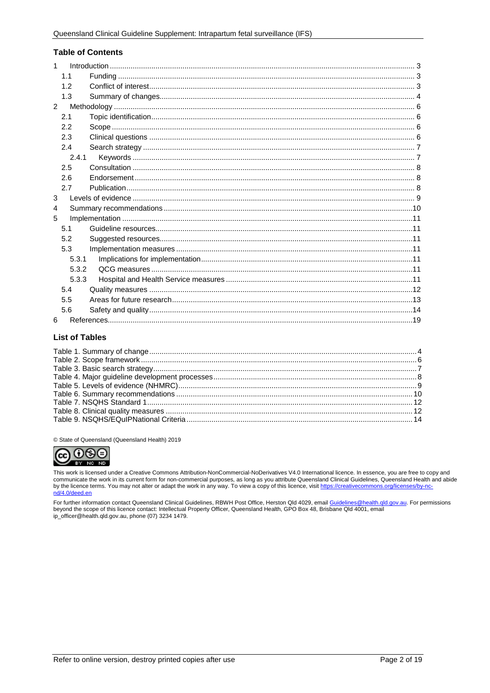#### **Table of Contents**

| 1              |       |  |
|----------------|-------|--|
|                | 1.1   |  |
|                | 1.2   |  |
|                | 1.3   |  |
| $\mathfrak{p}$ |       |  |
|                | 2.1   |  |
|                | 2.2   |  |
|                | 2.3   |  |
|                | 2.4   |  |
|                | 2.4.1 |  |
|                | 2.5   |  |
|                | 2.6   |  |
|                | 2.7   |  |
| 3              |       |  |
| 4              |       |  |
| 5              |       |  |
|                | 5.1   |  |
|                | 5.2   |  |
|                | 5.3   |  |
|                | 5.3.1 |  |
|                | 5.3.2 |  |
|                | 5.3.3 |  |
|                | 5.4   |  |
|                | 5.5   |  |
|                | 5.6   |  |
| 6              |       |  |

#### **List of Tables**

© State of Queensland (Queensland Health) 2019



This work is licensed under a Creative Commons Attribution-NonCommercial-NoDerivatives V4.0 International licence. In essence, you are free to copy and<br>communicate the work in its current form for non-commercial purposes,

For further information contact Queensland Clinical Guidelines, RBWH Post Office, Herston Qld 4029, email <u>Guidelines@health.qld.gov.au</u>. For permissions<br>beyond the scope of this licence contact: Intellectual Property Offi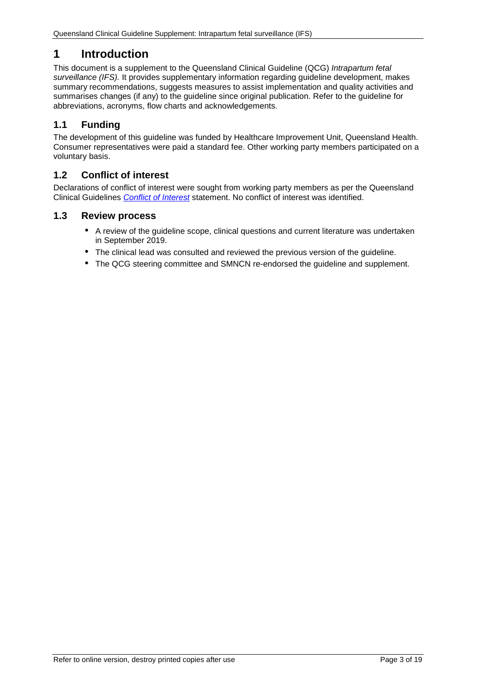# <span id="page-2-0"></span>**1 Introduction**

This document is a supplement to the Queensland Clinical Guideline (QCG) *Intrapartum fetal surveillance (IFS).* It provides supplementary information regarding guideline development, makes summary recommendations, suggests measures to assist implementation and quality activities and summarises changes (if any) to the guideline since original publication. Refer to the guideline for abbreviations, acronyms, flow charts and acknowledgements.

# <span id="page-2-1"></span>**1.1 Funding**

The development of this guideline was funded by Healthcare Improvement Unit, Queensland Health. Consumer representatives were paid a standard fee. Other working party members participated on a voluntary basis.

#### <span id="page-2-2"></span>**1.2 Conflict of interest**

Declarations of conflict of interest were sought from working party members as per the Queensland Clinical Guidelines *[Conflict of Interest](http://www.health.qld.gov.au/qcg/development#coi)* statement. No conflict of interest was identified.

#### **1.3 Review process**

- A review of the guideline scope, clinical questions and current literature was undertaken in September 2019.
- The clinical lead was consulted and reviewed the previous version of the guideline.
- The QCG steering committee and SMNCN re-endorsed the guideline and supplement.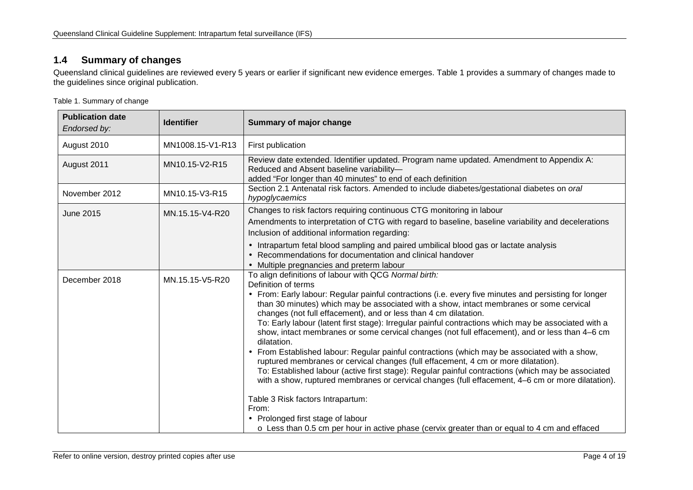## **1.4 Summary of changes**

Queensland clinical guidelines are reviewed every 5 years or earlier if significant new evidence emerges. [Table 1](#page-3-2) provides a summary of changes made to the guidelines since original publication.

<span id="page-3-2"></span>Table 1. Summary of change

<span id="page-3-1"></span><span id="page-3-0"></span>

| <b>Publication date</b><br>Endorsed by: | <b>Identifier</b> | Summary of major change                                                                                                                                                                                                                                                                                                                                                                                                                                                                                                                                                                                                                                                                                                                                                                                                                                                                                                                                                                                                                                                                                                                                             |  |
|-----------------------------------------|-------------------|---------------------------------------------------------------------------------------------------------------------------------------------------------------------------------------------------------------------------------------------------------------------------------------------------------------------------------------------------------------------------------------------------------------------------------------------------------------------------------------------------------------------------------------------------------------------------------------------------------------------------------------------------------------------------------------------------------------------------------------------------------------------------------------------------------------------------------------------------------------------------------------------------------------------------------------------------------------------------------------------------------------------------------------------------------------------------------------------------------------------------------------------------------------------|--|
| August 2010                             | MN1008.15-V1-R13  | First publication                                                                                                                                                                                                                                                                                                                                                                                                                                                                                                                                                                                                                                                                                                                                                                                                                                                                                                                                                                                                                                                                                                                                                   |  |
| August 2011                             | MN10.15-V2-R15    | Review date extended. Identifier updated. Program name updated. Amendment to Appendix A:<br>Reduced and Absent baseline variability-<br>added "For longer than 40 minutes" to end of each definition                                                                                                                                                                                                                                                                                                                                                                                                                                                                                                                                                                                                                                                                                                                                                                                                                                                                                                                                                                |  |
| November 2012                           | MN10.15-V3-R15    | Section 2.1 Antenatal risk factors. Amended to include diabetes/gestational diabetes on oral<br>hypoglycaemics                                                                                                                                                                                                                                                                                                                                                                                                                                                                                                                                                                                                                                                                                                                                                                                                                                                                                                                                                                                                                                                      |  |
| June 2015                               | MN.15.15-V4-R20   | Changes to risk factors requiring continuous CTG monitoring in labour<br>Amendments to interpretation of CTG with regard to baseline, baseline variability and decelerations<br>Inclusion of additional information regarding:                                                                                                                                                                                                                                                                                                                                                                                                                                                                                                                                                                                                                                                                                                                                                                                                                                                                                                                                      |  |
|                                         |                   | Intrapartum fetal blood sampling and paired umbilical blood gas or lactate analysis<br>Recommendations for documentation and clinical handover<br>Multiple pregnancies and preterm labour                                                                                                                                                                                                                                                                                                                                                                                                                                                                                                                                                                                                                                                                                                                                                                                                                                                                                                                                                                           |  |
| December 2018                           | MN.15.15-V5-R20   | To align definitions of labour with QCG Normal birth:<br>Definition of terms<br>From: Early labour: Regular painful contractions (i.e. every five minutes and persisting for longer<br>than 30 minutes) which may be associated with a show, intact membranes or some cervical<br>changes (not full effacement), and or less than 4 cm dilatation.<br>To: Early labour (latent first stage): Irregular painful contractions which may be associated with a<br>show, intact membranes or some cervical changes (not full effacement), and or less than 4-6 cm<br>dilatation.<br>From Established labour: Regular painful contractions (which may be associated with a show,<br>ruptured membranes or cervical changes (full effacement, 4 cm or more dilatation).<br>To: Established labour (active first stage): Regular painful contractions (which may be associated<br>with a show, ruptured membranes or cervical changes (full effacement, 4–6 cm or more dilatation).<br>Table 3 Risk factors Intrapartum:<br>From:<br>Prolonged first stage of labour<br>$\circ$ Less than 0.5 cm per hour in active phase (cervix greater than or equal to 4 cm and effaced |  |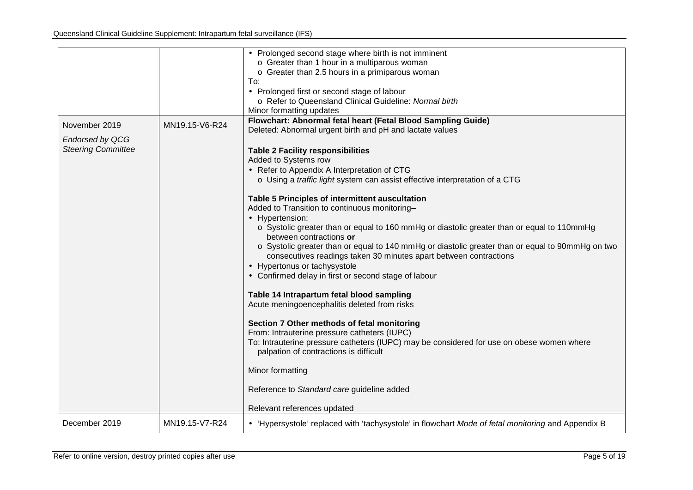<span id="page-4-0"></span>

|                           |                | Prolonged second stage where birth is not imminent<br>o Greater than 1 hour in a multiparous woman                                                                    |
|---------------------------|----------------|-----------------------------------------------------------------------------------------------------------------------------------------------------------------------|
|                           |                | o Greater than 2.5 hours in a primiparous woman                                                                                                                       |
|                           |                | To:                                                                                                                                                                   |
|                           |                | Prolonged first or second stage of labour                                                                                                                             |
|                           |                | o Refer to Queensland Clinical Guideline: Normal birth                                                                                                                |
|                           |                | Minor formatting updates<br>Flowchart: Abnormal fetal heart (Fetal Blood Sampling Guide)                                                                              |
| November 2019             | MN19.15-V6-R24 | Deleted: Abnormal urgent birth and pH and lactate values                                                                                                              |
| <b>Endorsed by QCG</b>    |                |                                                                                                                                                                       |
| <b>Steering Committee</b> |                | <b>Table 2 Facility responsibilities</b>                                                                                                                              |
|                           |                | Added to Systems row                                                                                                                                                  |
|                           |                | Refer to Appendix A Interpretation of CTG                                                                                                                             |
|                           |                | o Using a traffic light system can assist effective interpretation of a CTG                                                                                           |
|                           |                | Table 5 Principles of intermittent auscultation                                                                                                                       |
|                           |                | Added to Transition to continuous monitoring-                                                                                                                         |
|                           |                | Hypertension:                                                                                                                                                         |
|                           |                | ○ Systolic greater than or equal to 160 mmHg or diastolic greater than or equal to 110mmHg                                                                            |
| between contractions or   |                |                                                                                                                                                                       |
|                           |                | o Systolic greater than or equal to 140 mmHg or diastolic greater than or equal to 90mmHg on two<br>consecutives readings taken 30 minutes apart between contractions |
|                           |                | Hypertonus or tachysystole                                                                                                                                            |
|                           |                | Confirmed delay in first or second stage of labour                                                                                                                    |
|                           |                |                                                                                                                                                                       |
|                           |                | Table 14 Intrapartum fetal blood sampling                                                                                                                             |
|                           |                | Acute meningoencephalitis deleted from risks                                                                                                                          |
|                           |                | Section 7 Other methods of fetal monitoring                                                                                                                           |
|                           |                | From: Intrauterine pressure catheters (IUPC)                                                                                                                          |
|                           |                | To: Intrauterine pressure catheters (IUPC) may be considered for use on obese women where                                                                             |
|                           |                | palpation of contractions is difficult                                                                                                                                |
|                           |                | Minor formatting                                                                                                                                                      |
|                           |                | Reference to Standard care guideline added                                                                                                                            |
|                           |                |                                                                                                                                                                       |
|                           |                | Relevant references updated                                                                                                                                           |
| December 2019             | MN19.15-V7-R24 | . 'Hypersystole' replaced with 'tachysystole' in flowchart Mode of fetal monitoring and Appendix B                                                                    |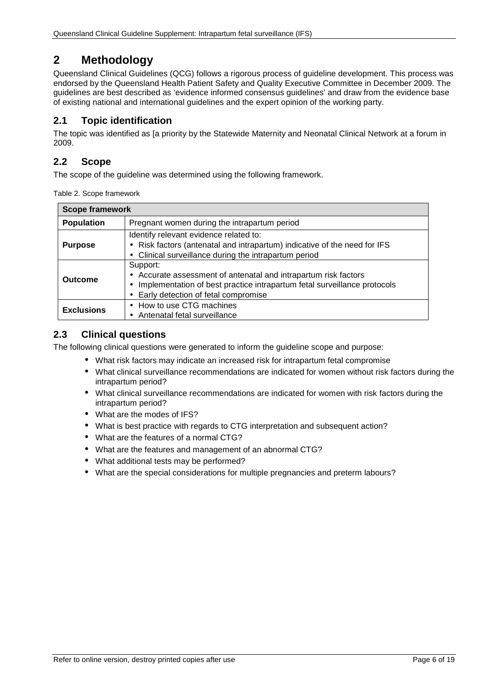# **2 Methodology**

Queensland Clinical Guidelines (QCG) follows a rigorous process of guideline development. This process was endorsed by the Queensland Health Patient Safety and Quality Executive Committee in December 2009. The guidelines are best described as 'evidence informed consensus guidelines' and draw from the evidence base of existing national and international guidelines and the expert opinion of the working party.

## <span id="page-5-0"></span>**2.1 Topic identification**

The topic was identified as [a priority by the Statewide Maternity and Neonatal Clinical Network at a forum in 2009.

#### <span id="page-5-1"></span>**2.2 Scope**

<span id="page-5-3"></span>The scope of the guideline was determined using the following framework.

|  |  | Table 2. Scope framework |
|--|--|--------------------------|
|--|--|--------------------------|

| <b>Scope framework</b>                                            |                                                                                                                                                                                              |  |  |
|-------------------------------------------------------------------|----------------------------------------------------------------------------------------------------------------------------------------------------------------------------------------------|--|--|
| <b>Population</b><br>Pregnant women during the intrapartum period |                                                                                                                                                                                              |  |  |
| <b>Purpose</b>                                                    | Identify relevant evidence related to:<br>Risk factors (antenatal and intrapartum) indicative of the need for IFS<br>Clinical surveillance during the intrapartum period                     |  |  |
| Outcome                                                           | Support:<br>Accurate assessment of antenatal and intrapartum risk factors<br>Implementation of best practice intrapartum fetal surveillance protocols<br>Early detection of fetal compromise |  |  |
| <b>Exclusions</b>                                                 | How to use CTG machines<br>Antenatal fetal surveillance                                                                                                                                      |  |  |

### <span id="page-5-2"></span>**2.3 Clinical questions**

The following clinical questions were generated to inform the guideline scope and purpose:

- What risk factors may indicate an increased risk for intrapartum fetal compromise
- What clinical surveillance recommendations are indicated for women without risk factors during the intrapartum period?
- What clinical surveillance recommendations are indicated for women with risk factors during the intrapartum period?
- What are the modes of IFS?
- What is best practice with regards to CTG interpretation and subsequent action?
- What are the features of a normal CTG?
- What are the features and management of an abnormal CTG?
- What additional tests may be performed?
- What are the special considerations for multiple pregnancies and preterm labours?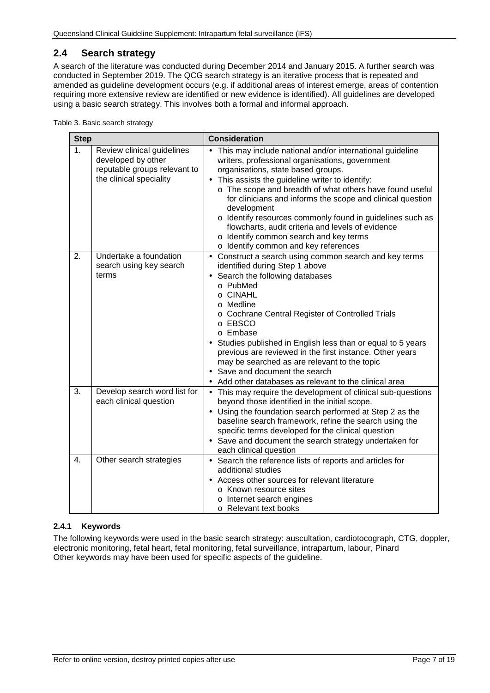## <span id="page-6-0"></span>**2.4 Search strategy**

A search of the literature was conducted during December 2014 and January 2015. A further search was conducted in September 2019. The QCG search strategy is an iterative process that is repeated and amended as guideline development occurs (e.g. if additional areas of interest emerge, areas of contention requiring more extensive review are identified or new evidence is identified). All guidelines are developed using a basic search strategy. This involves both a formal and informal approach.

<span id="page-6-2"></span>

|  |  | Table 3. Basic search strategy |
|--|--|--------------------------------|
|  |  |                                |

| <b>Step</b>                                                                                                                   |                                                            | <b>Consideration</b>                                                                                                                                                                                                                                                                                                                                                                                                                                                                                                                             |  |  |
|-------------------------------------------------------------------------------------------------------------------------------|------------------------------------------------------------|--------------------------------------------------------------------------------------------------------------------------------------------------------------------------------------------------------------------------------------------------------------------------------------------------------------------------------------------------------------------------------------------------------------------------------------------------------------------------------------------------------------------------------------------------|--|--|
| 1 <sub>1</sub><br>Review clinical guidelines<br>developed by other<br>reputable groups relevant to<br>the clinical speciality |                                                            | This may include national and/or international guideline<br>writers, professional organisations, government<br>organisations, state based groups.<br>This assists the guideline writer to identify:<br>o The scope and breadth of what others have found useful<br>for clinicians and informs the scope and clinical question<br>development<br>o Identify resources commonly found in guidelines such as<br>flowcharts, audit criteria and levels of evidence<br>o Identify common search and key terms<br>o Identify common and key references |  |  |
| 2.                                                                                                                            | Undertake a foundation<br>search using key search<br>terms | Construct a search using common search and key terms<br>$\blacksquare$<br>identified during Step 1 above<br>Search the following databases<br>o PubMed<br>o CINAHL<br>o Medline<br>o Cochrane Central Register of Controlled Trials<br>o EBSCO<br>o Embase<br>Studies published in English less than or equal to 5 years<br>previous are reviewed in the first instance. Other years<br>may be searched as are relevant to the topic<br>Save and document the search<br>Add other databases as relevant to the clinical area                     |  |  |
| 3.                                                                                                                            | Develop search word list for<br>each clinical question     | This may require the development of clinical sub-questions<br>$\bullet$<br>beyond those identified in the initial scope.<br>Using the foundation search performed at Step 2 as the<br>baseline search framework, refine the search using the<br>specific terms developed for the clinical question<br>Save and document the search strategy undertaken for<br>each clinical question                                                                                                                                                             |  |  |
| 4.                                                                                                                            | Other search strategies                                    | Search the reference lists of reports and articles for<br>$\blacksquare$<br>additional studies<br>Access other sources for relevant literature<br>o Known resource sites<br>o Internet search engines<br>o Relevant text books                                                                                                                                                                                                                                                                                                                   |  |  |

#### <span id="page-6-1"></span>**2.4.1 Keywords**

The following keywords were used in the basic search strategy: auscultation, cardiotocograph, CTG, doppler, electronic monitoring, fetal heart, fetal monitoring, fetal surveillance, intrapartum, labour, Pinard Other keywords may have been used for specific aspects of the guideline.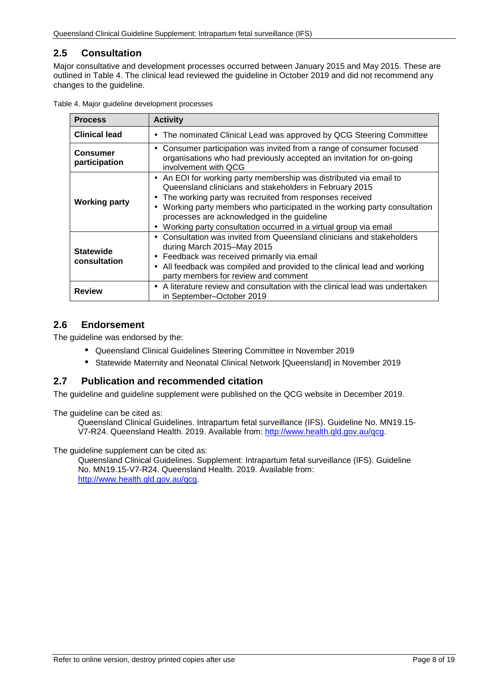## <span id="page-7-0"></span>**2.5 Consultation**

Major consultative and development processes occurred between January 2015 and May 2015. These are outlined in [Table 4.](#page-7-3) The clinical lead reviewed the guideline in October 2019 and did not recommend any changes to the guideline.

<span id="page-7-3"></span>

| Table 4. Major guideline development processes |  |  |  |
|------------------------------------------------|--|--|--|
|------------------------------------------------|--|--|--|

| <b>Process</b>                   | <b>Activity</b>                                                                                                                                                                                                                                                                                                                                                                                                                                               |  |  |  |
|----------------------------------|---------------------------------------------------------------------------------------------------------------------------------------------------------------------------------------------------------------------------------------------------------------------------------------------------------------------------------------------------------------------------------------------------------------------------------------------------------------|--|--|--|
| <b>Clinical lead</b>             | The nominated Clinical Lead was approved by QCG Steering Committee<br>$\blacksquare$                                                                                                                                                                                                                                                                                                                                                                          |  |  |  |
| <b>Consumer</b><br>participation | Consumer participation was invited from a range of consumer focused<br>$\blacksquare$<br>organisations who had previously accepted an invitation for on-going<br>involvement with QCG                                                                                                                                                                                                                                                                         |  |  |  |
| <b>Working party</b>             | An EOI for working party membership was distributed via email to<br>$\blacksquare$<br>Queensland clinicians and stakeholders in February 2015<br>The working party was recruited from responses received<br>$\blacksquare$<br>Working party members who participated in the working party consultation<br>$\blacksquare$<br>processes are acknowledged in the guideline<br>Working party consultation occurred in a virtual group via email<br>$\blacksquare$ |  |  |  |
| <b>Statewide</b><br>consultation | Consultation was invited from Queensland clinicians and stakeholders<br>$\blacksquare$<br>during March 2015–May 2015<br>Feedback was received primarily via email<br>٠<br>All feedback was compiled and provided to the clinical lead and working<br>$\blacksquare$<br>party members for review and comment                                                                                                                                                   |  |  |  |
| <b>Review</b>                    | A literature review and consultation with the clinical lead was undertaken<br>$\blacksquare$<br>in September-October 2019                                                                                                                                                                                                                                                                                                                                     |  |  |  |

## <span id="page-7-1"></span>**2.6 Endorsement**

The guideline was endorsed by the:

- Queensland Clinical Guidelines Steering Committee in November 2019
- $\mathbf{r}$ Statewide Maternity and Neonatal Clinical Network [Queensland] in November 2019

### <span id="page-7-2"></span>**2.7 Publication and recommended citation**

The guideline and guideline supplement were published on the QCG website in December 2019.

The guideline can be cited as:

Queensland Clinical Guidelines. Intrapartum fetal surveillance (IFS). Guideline No. MN19.15- V7-R24. Queensland Health. 2019. Available from: [http://www.health.qld.gov.au/qcg.](http://www.health.qld.gov.au/qcg)

The guideline supplement can be cited as:

Queensland Clinical Guidelines. Supplement: Intrapartum fetal surveillance (IFS). Guideline No. MN19.15-V7-R24. Queensland Health. 2019. Available from: [http://www.health.qld.gov.au/qcg.](http://www.health.qld.gov.au/qcg)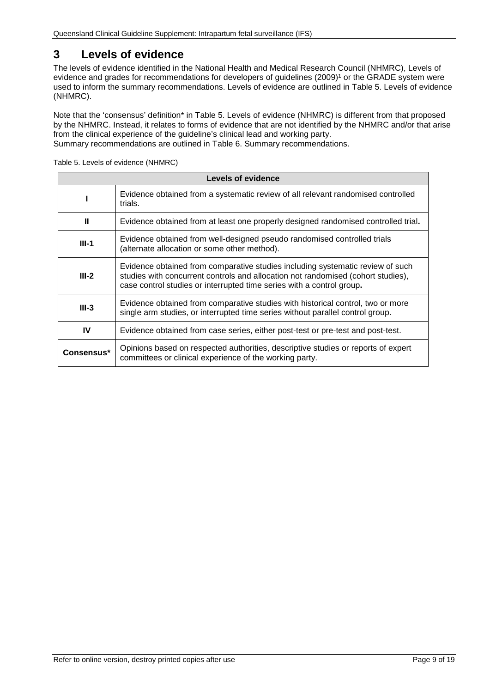# <span id="page-8-0"></span>**3 Levels of evidence**

The levels of evidence identified in the National Health and Medical Research Council (NHMRC), Levels of evidence and grades for recommendations for developers of guidelines (2009)<sup>1</sup> or the GRADE system were used to inform the summary recommendations. Levels of evidence are outlined in [Table 5. Levels of evidence](#page-8-1)  [\(NHMRC\).](#page-8-1)

Note that the 'consensus' definition\* in [Table 5. Levels of evidence \(NHMRC\)](#page-8-1) is different from that proposed by the NHMRC. Instead, it relates to forms of evidence that are not identified by the NHMRC and/or that arise from the clinical experience of the guideline's clinical lead and working party. Summary recommendations are outlined in Table 6. [Summary recommendations.](#page-9-1)

<span id="page-8-1"></span>Table 5. Levels of evidence (NHMRC)

| Levels of evidence                                                                      |                                                                                                                                                                                                                                             |  |  |  |
|-----------------------------------------------------------------------------------------|---------------------------------------------------------------------------------------------------------------------------------------------------------------------------------------------------------------------------------------------|--|--|--|
|                                                                                         | Evidence obtained from a systematic review of all relevant randomised controlled<br>trials.                                                                                                                                                 |  |  |  |
| Ш<br>Evidence obtained from at least one properly designed randomised controlled trial. |                                                                                                                                                                                                                                             |  |  |  |
| $III-1$                                                                                 | Evidence obtained from well-designed pseudo randomised controlled trials<br>(alternate allocation or some other method).                                                                                                                    |  |  |  |
| $III-2$                                                                                 | Evidence obtained from comparative studies including systematic review of such<br>studies with concurrent controls and allocation not randomised (cohort studies),<br>case control studies or interrupted time series with a control group. |  |  |  |
| $III-3$                                                                                 | Evidence obtained from comparative studies with historical control, two or more<br>single arm studies, or interrupted time series without parallel control group.                                                                           |  |  |  |
| IV                                                                                      | Evidence obtained from case series, either post-test or pre-test and post-test.                                                                                                                                                             |  |  |  |
| Consensus*                                                                              | Opinions based on respected authorities, descriptive studies or reports of expert<br>committees or clinical experience of the working party.                                                                                                |  |  |  |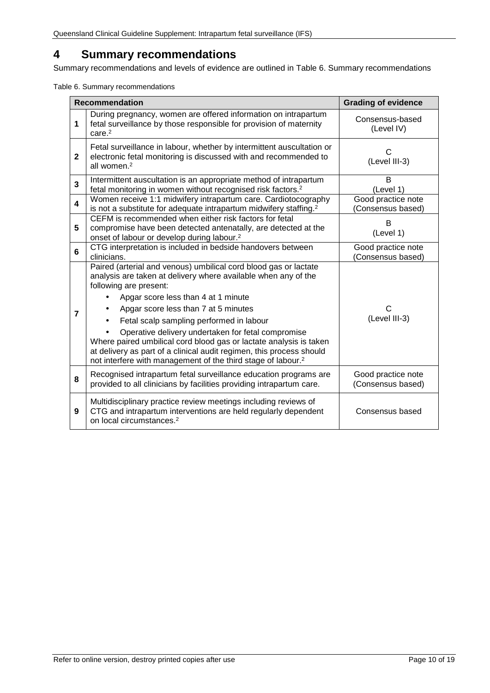# <span id="page-9-0"></span>**4 Summary recommendations**

Summary recommendations and levels of evidence are outlined in [Table 6. Summary recommendations](#page-9-1)

<span id="page-9-1"></span>Table 6. Summary recommendations

|              | <b>Recommendation</b>                                                                                                                                                                                                                                                                                                                                                                                                                                                                                                                                                   | <b>Grading of evidence</b>              |
|--------------|-------------------------------------------------------------------------------------------------------------------------------------------------------------------------------------------------------------------------------------------------------------------------------------------------------------------------------------------------------------------------------------------------------------------------------------------------------------------------------------------------------------------------------------------------------------------------|-----------------------------------------|
| 1            | During pregnancy, women are offered information on intrapartum<br>fetal surveillance by those responsible for provision of maternity<br>care. <sup>2</sup>                                                                                                                                                                                                                                                                                                                                                                                                              | Consensus-based<br>(Level IV)           |
| $\mathbf{2}$ | Fetal surveillance in labour, whether by intermittent auscultation or<br>electronic fetal monitoring is discussed with and recommended to<br>all women. <sup>2</sup>                                                                                                                                                                                                                                                                                                                                                                                                    | C<br>(Level III-3)                      |
| 3            | Intermittent auscultation is an appropriate method of intrapartum<br>fetal monitoring in women without recognised risk factors. <sup>2</sup>                                                                                                                                                                                                                                                                                                                                                                                                                            | B<br>(Level 1)                          |
| 4            | Women receive 1:1 midwifery intrapartum care. Cardiotocography<br>is not a substitute for adequate intrapartum midwifery staffing. <sup>2</sup>                                                                                                                                                                                                                                                                                                                                                                                                                         | Good practice note<br>(Consensus based) |
| 5            | CEFM is recommended when either risk factors for fetal<br>compromise have been detected antenatally, are detected at the<br>onset of labour or develop during labour. <sup>2</sup>                                                                                                                                                                                                                                                                                                                                                                                      | B<br>(Level 1)                          |
| 6            | CTG interpretation is included in bedside handovers between<br>clinicians.                                                                                                                                                                                                                                                                                                                                                                                                                                                                                              | Good practice note<br>(Consensus based) |
| 7            | Paired (arterial and venous) umbilical cord blood gas or lactate<br>analysis are taken at delivery where available when any of the<br>following are present:<br>Apgar score less than 4 at 1 minute<br>Apgar score less than 7 at 5 minutes<br>Fetal scalp sampling performed in labour<br>Operative delivery undertaken for fetal compromise<br>Where paired umbilical cord blood gas or lactate analysis is taken<br>at delivery as part of a clinical audit regimen, this process should<br>not interfere with management of the third stage of labour. <sup>2</sup> | C<br>(Level III-3)                      |
| 8            | Recognised intrapartum fetal surveillance education programs are<br>provided to all clinicians by facilities providing intrapartum care.                                                                                                                                                                                                                                                                                                                                                                                                                                | Good practice note<br>(Consensus based) |
| 9            | Multidisciplinary practice review meetings including reviews of<br>CTG and intrapartum interventions are held regularly dependent<br>on local circumstances. <sup>2</sup>                                                                                                                                                                                                                                                                                                                                                                                               | Consensus based                         |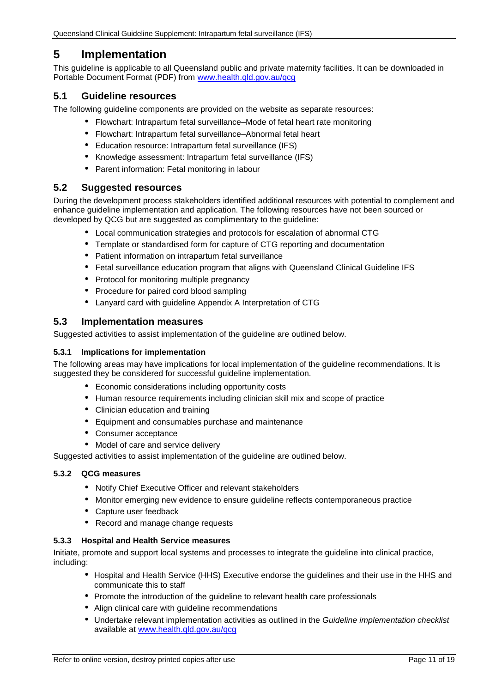# <span id="page-10-0"></span>**5 Implementation**

This guideline is applicable to all Queensland public and private maternity facilities. It can be downloaded in Portable Document Format (PDF) from [www.health.qld.gov.au/qcg](http://www.health.qld.gov.au/qcg)

#### <span id="page-10-1"></span>**5.1 Guideline resources**

The following guideline components are provided on the website as separate resources:

- Flowchart: Intrapartum fetal surveillance–Mode of fetal heart rate monitoring
- Flowchart: Intrapartum fetal surveillance–Abnormal fetal heart
- Education resource: Intrapartum fetal surveillance (IFS)
- Knowledge assessment: Intrapartum fetal surveillance (IFS)
- Parent information: Fetal monitoring in labour

#### <span id="page-10-2"></span>**5.2 Suggested resources**

During the development process stakeholders identified additional resources with potential to complement and enhance guideline implementation and application. The following resources have not been sourced or developed by QCG but are suggested as complimentary to the guideline:

- Local communication strategies and protocols for escalation of abnormal CTG
- Template or standardised form for capture of CTG reporting and documentation
- Patient information on intrapartum fetal surveillance
- Fetal surveillance education program that aligns with Queensland Clinical Guideline IFS
- $\mathbf{r}$ Protocol for monitoring multiple pregnancy
- Procedure for paired cord blood sampling
- Lanyard card with guideline Appendix A Interpretation of CTG

#### <span id="page-10-3"></span>**5.3 Implementation measures**

Suggested activities to assist implementation of the guideline are outlined below.

#### <span id="page-10-4"></span>**5.3.1 Implications for implementation**

The following areas may have implications for local implementation of the guideline recommendations. It is suggested they be considered for successful guideline implementation.

- Economic considerations including opportunity costs
- Human resource requirements including clinician skill mix and scope of practice
- Clinician education and training
- Equipment and consumables purchase and maintenance  $\mathbf{r}$
- Consumer acceptance
- Model of care and service delivery

<span id="page-10-5"></span>Suggested activities to assist implementation of the guideline are outlined below.

#### **5.3.2 QCG measures**

- Notify Chief Executive Officer and relevant stakeholders
- Monitor emerging new evidence to ensure guideline reflects contemporaneous practice  $\mathbf{r}$  .
- Capture user feedback
- Record and manage change requests

#### <span id="page-10-6"></span>**5.3.3 Hospital and Health Service measures**

Initiate, promote and support local systems and processes to integrate the guideline into clinical practice, including:

- Hospital and Health Service (HHS) Executive endorse the guidelines and their use in the HHS and communicate this to staff
- Promote the introduction of the guideline to relevant health care professionals
- Align clinical care with guideline recommendations
- Undertake relevant implementation activities as outlined in the *Guideline implementation checklist* available at [www.health.qld.gov.au/qcg](http://www.health.qld.gov.au/qcg)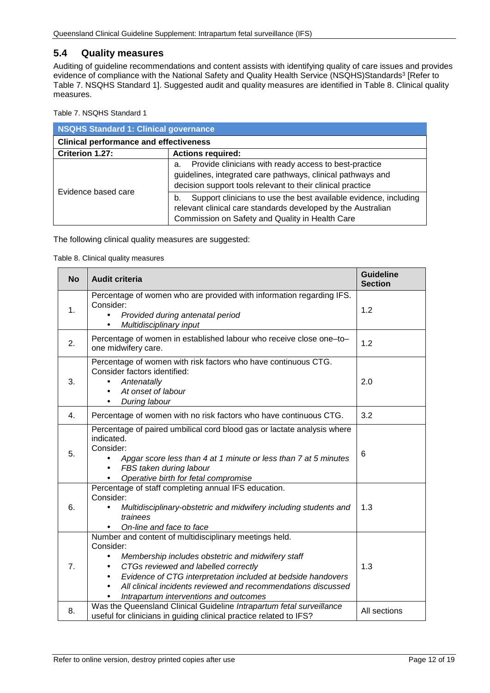#### <span id="page-11-0"></span>**5.4 Quality measures**

Auditing of guideline recommendations and content assists with identifying quality of care issues and provides evidence of compliance with the National Safety and Quality Health Service (NSQHS)Standards<sup>3</sup> [Refer to Table 7. [NSQHS Standard 1\]](#page-11-1). Suggested audit and quality measures are identified in [Table 8. Clinical quality](#page-11-2)  [measures.](#page-11-2)

<span id="page-11-1"></span>Table 7. NSQHS Standard 1

| <b>NSQHS Standard 1: Clinical governance</b>  |                                                                                                                                                                                           |  |
|-----------------------------------------------|-------------------------------------------------------------------------------------------------------------------------------------------------------------------------------------------|--|
| <b>Clinical performance and effectiveness</b> |                                                                                                                                                                                           |  |
| Criterion 1.27:                               | <b>Actions required:</b>                                                                                                                                                                  |  |
|                                               | Provide clinicians with ready access to best-practice<br>a.<br>guidelines, integrated care pathways, clinical pathways and<br>decision support tools relevant to their clinical practice  |  |
| Evidence based care                           | Support clinicians to use the best available evidence, including<br>b.<br>relevant clinical care standards developed by the Australian<br>Commission on Safety and Quality in Health Care |  |

<span id="page-11-2"></span>The following clinical quality measures are suggested:

Table 8. Clinical quality measures

| <b>No</b> | <b>Audit criteria</b>                                                                                                                                                                                                                                                                                                                       | <b>Guideline</b><br><b>Section</b> |
|-----------|---------------------------------------------------------------------------------------------------------------------------------------------------------------------------------------------------------------------------------------------------------------------------------------------------------------------------------------------|------------------------------------|
| 1.        | Percentage of women who are provided with information regarding IFS.<br>Consider:<br>Provided during antenatal period<br>$\mathbf{L}$<br>Multidisciplinary input                                                                                                                                                                            | 1.2                                |
| 2.        | Percentage of women in established labour who receive close one-to-<br>one midwifery care.                                                                                                                                                                                                                                                  | 1.2                                |
| 3.        | Percentage of women with risk factors who have continuous CTG.<br>Consider factors identified:<br>Antenatally<br>At onset of labour<br>During labour                                                                                                                                                                                        | 2.0                                |
| 4.        | Percentage of women with no risk factors who have continuous CTG.                                                                                                                                                                                                                                                                           | 3.2                                |
| 5.        | Percentage of paired umbilical cord blood gas or lactate analysis where<br>indicated.<br>Consider:<br>Apgar score less than 4 at 1 minute or less than 7 at 5 minutes<br>FBS taken during labour<br>Operative birth for fetal compromise                                                                                                    | $6\phantom{1}6$                    |
| 6.        | Percentage of staff completing annual IFS education.<br>Consider:<br>Multidisciplinary-obstetric and midwifery including students and<br>trainees<br>On-line and face to face                                                                                                                                                               | 1.3                                |
| 7.        | Number and content of multidisciplinary meetings held.<br>Consider:<br>Membership includes obstetric and midwifery staff<br>CTGs reviewed and labelled correctly<br>Evidence of CTG interpretation included at bedside handovers<br>All clinical incidents reviewed and recommendations discussed<br>Intrapartum interventions and outcomes | 1.3                                |
| 8.        | Was the Queensland Clinical Guideline Intrapartum fetal surveillance<br>useful for clinicians in guiding clinical practice related to IFS?                                                                                                                                                                                                  | All sections                       |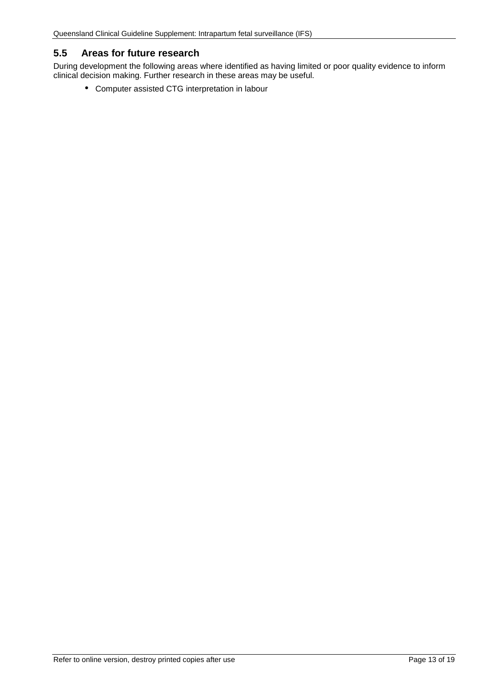## <span id="page-12-0"></span>**5.5 Areas for future research**

During development the following areas where identified as having limited or poor quality evidence to inform clinical decision making. Further research in these areas may be useful.

Computer assisted CTG interpretation in labour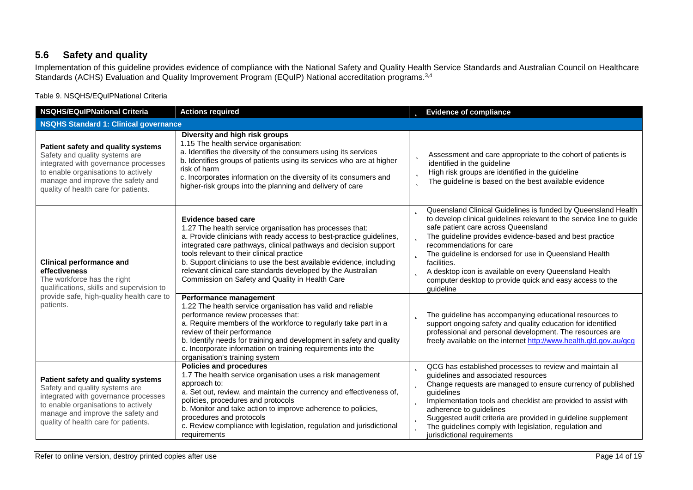# **5.6 Safety and quality**

Implementation of this guideline provides evidence of compliance with the National Safety and Quality Health Service Standards and Australian Council on Healthcare Standards (ACHS) Evaluation and Quality Improvement Program (EQuIP) National accreditation programs. 3,4

Table 9. NSQHS/EQuIPNational Criteria

<span id="page-13-1"></span><span id="page-13-0"></span>

| <b>NSQHS/EQuIPNational Criteria</b>                                                                                                                                                                                              | <b>Actions required</b>                                                                                                                                                                                                                                                                                                                                                                                                                                                   | <b>b</b> Evidence of compliance                                                                                                                                                                                                                                                                                                                                                                                                                                                                   |
|----------------------------------------------------------------------------------------------------------------------------------------------------------------------------------------------------------------------------------|---------------------------------------------------------------------------------------------------------------------------------------------------------------------------------------------------------------------------------------------------------------------------------------------------------------------------------------------------------------------------------------------------------------------------------------------------------------------------|---------------------------------------------------------------------------------------------------------------------------------------------------------------------------------------------------------------------------------------------------------------------------------------------------------------------------------------------------------------------------------------------------------------------------------------------------------------------------------------------------|
| <b>NSQHS Standard 1: Clinical governance</b>                                                                                                                                                                                     |                                                                                                                                                                                                                                                                                                                                                                                                                                                                           |                                                                                                                                                                                                                                                                                                                                                                                                                                                                                                   |
| Patient safety and quality systems<br>Safety and quality systems are<br>integrated with governance processes<br>to enable organisations to actively<br>manage and improve the safety and<br>quality of health care for patients. | Diversity and high risk groups<br>1.15 The health service organisation:<br>a. Identifies the diversity of the consumers using its services<br>b. Identifies groups of patients using its services who are at higher<br>risk of harm<br>c. Incorporates information on the diversity of its consumers and<br>higher-risk groups into the planning and delivery of care                                                                                                     | Assessment and care appropriate to the cohort of patients is<br>Þ<br>identified in the guideline<br>High risk groups are identified in the guideline<br>þ<br>The guideline is based on the best available evidence<br>b                                                                                                                                                                                                                                                                           |
| <b>Clinical performance and</b><br>effectiveness<br>The workforce has the right<br>qualifications, skills and supervision to<br>provide safe, high-quality health care to<br>patients.                                           | <b>Evidence based care</b><br>1.27 The health service organisation has processes that:<br>a. Provide clinicians with ready access to best-practice guidelines,<br>integrated care pathways, clinical pathways and decision support<br>tools relevant to their clinical practice<br>b. Support clinicians to use the best available evidence, including<br>relevant clinical care standards developed by the Australian<br>Commission on Safety and Quality in Health Care | <b>D</b> Queensland Clinical Guidelines is funded by Queensland Health<br>to develop clinical guidelines relevant to the service line to guide<br>safe patient care across Queensland<br>The guideline provides evidence-based and best practice<br>recommendations for care<br><b>b</b> The guideline is endorsed for use in Queensland Health<br>facilities.<br>A desktop icon is available on every Queensland Health<br>computer desktop to provide quick and easy access to the<br>guideline |
|                                                                                                                                                                                                                                  | Performance management<br>1.22 The health service organisation has valid and reliable<br>performance review processes that:<br>a. Require members of the workforce to regularly take part in a<br>review of their performance<br>b. Identify needs for training and development in safety and quality<br>c. Incorporate information on training requirements into the<br>organisation's training system                                                                   | The guideline has accompanying educational resources to<br>b<br>support ongoing safety and quality education for identified<br>professional and personal development. The resources are<br>freely available on the internet http://www.health.qld.gov.au/qcg                                                                                                                                                                                                                                      |
| Patient safety and quality systems<br>Safety and quality systems are<br>integrated with governance processes<br>to enable organisations to actively<br>manage and improve the safety and<br>quality of health care for patients. | <b>Policies and procedures</b><br>1.7 The health service organisation uses a risk management<br>approach to:<br>a. Set out, review, and maintain the currency and effectiveness of,<br>policies, procedures and protocols<br>b. Monitor and take action to improve adherence to policies,<br>procedures and protocols<br>c. Review compliance with legislation, regulation and jurisdictional<br>requirements                                                             | <b>b</b> QCG has established processes to review and maintain all<br>guidelines and associated resources<br><b>b</b> Change requests are managed to ensure currency of published<br>quidelines<br>Implementation tools and checklist are provided to assist with<br>Þ<br>adherence to guidelines<br>Suggested audit criteria are provided in guideline supplement<br><b>b</b> The guidelines comply with legislation, regulation and<br>jurisdictional requirements                               |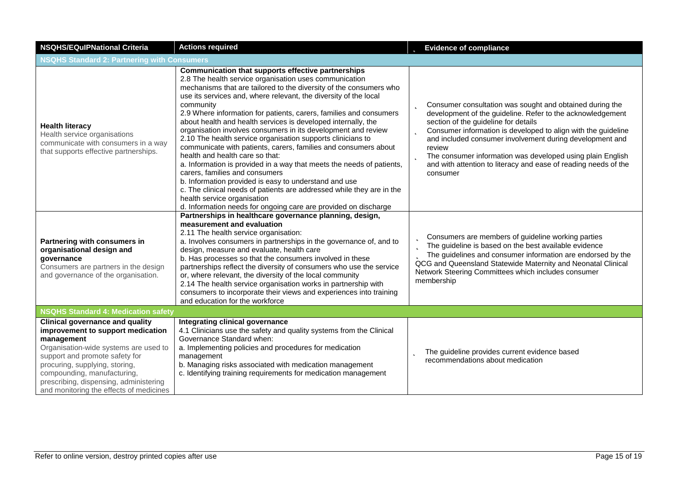| <b>NSQHS/EQulPNational Criteria</b>                                                                                                                                                                                                                                                                                        | <b>Actions required</b>                                                                                                                                                                                                                                                                                                                                                                                                                                                                                                                                                                                                                                                                                                                                                                                                                                                                                                                                                                         | <b>b</b> Evidence of compliance                                                                                                                                                                                                                                                                                                                                                                                                                                               |  |
|----------------------------------------------------------------------------------------------------------------------------------------------------------------------------------------------------------------------------------------------------------------------------------------------------------------------------|-------------------------------------------------------------------------------------------------------------------------------------------------------------------------------------------------------------------------------------------------------------------------------------------------------------------------------------------------------------------------------------------------------------------------------------------------------------------------------------------------------------------------------------------------------------------------------------------------------------------------------------------------------------------------------------------------------------------------------------------------------------------------------------------------------------------------------------------------------------------------------------------------------------------------------------------------------------------------------------------------|-------------------------------------------------------------------------------------------------------------------------------------------------------------------------------------------------------------------------------------------------------------------------------------------------------------------------------------------------------------------------------------------------------------------------------------------------------------------------------|--|
| <b>NSQHS Standard 2: Partnering with Consumers</b>                                                                                                                                                                                                                                                                         |                                                                                                                                                                                                                                                                                                                                                                                                                                                                                                                                                                                                                                                                                                                                                                                                                                                                                                                                                                                                 |                                                                                                                                                                                                                                                                                                                                                                                                                                                                               |  |
| <b>Health literacy</b><br>Health service organisations<br>communicate with consumers in a way<br>that supports effective partnerships.                                                                                                                                                                                     | Communication that supports effective partnerships<br>2.8 The health service organisation uses communication<br>mechanisms that are tailored to the diversity of the consumers who<br>use its services and, where relevant, the diversity of the local<br>community<br>2.9 Where information for patients, carers, families and consumers<br>about health and health services is developed internally, the<br>organisation involves consumers in its development and review<br>2.10 The health service organisation supports clinicians to<br>communicate with patients, carers, families and consumers about<br>health and health care so that:<br>a. Information is provided in a way that meets the needs of patients,<br>carers, families and consumers<br>b. Information provided is easy to understand and use<br>c. The clinical needs of patients are addressed while they are in the<br>health service organisation<br>d. Information needs for ongoing care are provided on discharge | <b>D</b> Consumer consultation was sought and obtained during the<br>development of the guideline. Refer to the acknowledgement<br>section of the guideline for details<br><b>b</b> Consumer information is developed to align with the guideline<br>and included consumer involvement during development and<br>review<br><b>b</b> The consumer information was developed using plain English<br>and with attention to literacy and ease of reading needs of the<br>consumer |  |
| Partnering with consumers in<br>organisational design and<br>governance<br>Consumers are partners in the design<br>and governance of the organisation.                                                                                                                                                                     | Partnerships in healthcare governance planning, design,<br>measurement and evaluation<br>2.11 The health service organisation:<br>a. Involves consumers in partnerships in the governance of, and to<br>design, measure and evaluate, health care<br>b. Has processes so that the consumers involved in these<br>partnerships reflect the diversity of consumers who use the service<br>or, where relevant, the diversity of the local community<br>2.14 The health service organisation works in partnership with<br>consumers to incorporate their views and experiences into training<br>and education for the workforce                                                                                                                                                                                                                                                                                                                                                                     | <b>b</b> Consumers are members of guideline working parties<br>The guideline is based on the best available evidence<br>The guidelines and consumer information are endorsed by the<br>QCG and Queensland Statewide Maternity and Neonatal Clinical<br>Network Steering Committees which includes consumer<br>membership                                                                                                                                                      |  |
| <b>NSQHS Standard 4: Medication safety</b>                                                                                                                                                                                                                                                                                 |                                                                                                                                                                                                                                                                                                                                                                                                                                                                                                                                                                                                                                                                                                                                                                                                                                                                                                                                                                                                 |                                                                                                                                                                                                                                                                                                                                                                                                                                                                               |  |
| <b>Clinical governance and quality</b><br>improvement to support medication<br>management<br>Organisation-wide systems are used to<br>support and promote safety for<br>procuring, supplying, storing,<br>compounding, manufacturing,<br>prescribing, dispensing, administering<br>and monitoring the effects of medicines | Integrating clinical governance<br>4.1 Clinicians use the safety and quality systems from the Clinical<br>Governance Standard when:<br>a. Implementing policies and procedures for medication<br>management<br>b. Managing risks associated with medication management<br>c. Identifying training requirements for medication management                                                                                                                                                                                                                                                                                                                                                                                                                                                                                                                                                                                                                                                        | The guideline provides current evidence based<br>þ<br>recommendations about medication                                                                                                                                                                                                                                                                                                                                                                                        |  |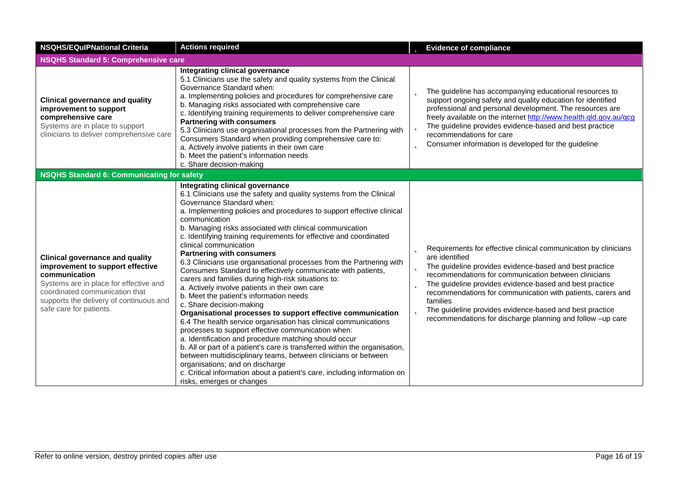| <b>NSQHS/EQulPNational Criteria</b>                                                                                                                                                                                                           | <b>Actions required</b>                                                                                                                                                                                                                                                                                                                                                                                                                                                                                                                                                                                                                                                                                                                                                                                                                                                                                                                                                                                                                                                                                                                                                                                                                                                                            | <b>b</b> Evidence of compliance                                                                                                                                                                                                                                                                                                                                                                                                                                               |
|-----------------------------------------------------------------------------------------------------------------------------------------------------------------------------------------------------------------------------------------------|----------------------------------------------------------------------------------------------------------------------------------------------------------------------------------------------------------------------------------------------------------------------------------------------------------------------------------------------------------------------------------------------------------------------------------------------------------------------------------------------------------------------------------------------------------------------------------------------------------------------------------------------------------------------------------------------------------------------------------------------------------------------------------------------------------------------------------------------------------------------------------------------------------------------------------------------------------------------------------------------------------------------------------------------------------------------------------------------------------------------------------------------------------------------------------------------------------------------------------------------------------------------------------------------------|-------------------------------------------------------------------------------------------------------------------------------------------------------------------------------------------------------------------------------------------------------------------------------------------------------------------------------------------------------------------------------------------------------------------------------------------------------------------------------|
| <b>NSQHS Standard 5: Comprehensive care</b>                                                                                                                                                                                                   |                                                                                                                                                                                                                                                                                                                                                                                                                                                                                                                                                                                                                                                                                                                                                                                                                                                                                                                                                                                                                                                                                                                                                                                                                                                                                                    |                                                                                                                                                                                                                                                                                                                                                                                                                                                                               |
| <b>Clinical governance and quality</b><br>improvement to support<br>comprehensive care<br>Systems are in place to support<br>clinicians to deliver comprehensive care                                                                         | Integrating clinical governance<br>5.1 Clinicians use the safety and quality systems from the Clinical<br>Governance Standard when:<br>a. Implementing policies and procedures for comprehensive care<br>b. Managing risks associated with comprehensive care<br>c. Identifying training requirements to deliver comprehensive care<br><b>Partnering with consumers</b><br>5.3 Clinicians use organisational processes from the Partnering with<br>Consumers Standard when providing comprehensive care to:<br>a. Actively involve patients in their own care<br>b. Meet the patient's information needs<br>c. Share decision-making                                                                                                                                                                                                                                                                                                                                                                                                                                                                                                                                                                                                                                                               | <b>b</b> The guideline has accompanying educational resources to<br>support ongoing safety and quality education for identified<br>professional and personal development. The resources are<br>freely available on the internet http://www.health.qld.gov.au/qcg<br>The guideline provides evidence-based and best practice<br>þ<br>recommendations for care<br>Consumer information is developed for the guideline<br>b                                                      |
| <b>NSQHS Standard 6: Communicating for safety</b>                                                                                                                                                                                             |                                                                                                                                                                                                                                                                                                                                                                                                                                                                                                                                                                                                                                                                                                                                                                                                                                                                                                                                                                                                                                                                                                                                                                                                                                                                                                    |                                                                                                                                                                                                                                                                                                                                                                                                                                                                               |
| <b>Clinical governance and quality</b><br>improvement to support effective<br>communication<br>Systems are in place for effective and<br>coordinated communication that<br>supports the delivery of continuous and<br>safe care for patients. | Integrating clinical governance<br>6.1 Clinicians use the safety and quality systems from the Clinical<br>Governance Standard when:<br>a. Implementing policies and procedures to support effective clinical<br>communication<br>b. Managing risks associated with clinical communication<br>c. Identifying training requirements for effective and coordinated<br>clinical communication<br><b>Partnering with consumers</b><br>6.3 Clinicians use organisational processes from the Partnering with<br>Consumers Standard to effectively communicate with patients,<br>carers and families during high-risk situations to:<br>a. Actively involve patients in their own care<br>b. Meet the patient's information needs<br>c. Share decision-making<br>Organisational processes to support effective communication<br>6.4 The health service organisation has clinical communications<br>processes to support effective communication when:<br>a. Identification and procedure matching should occur<br>b. All or part of a patient's care is transferred within the organisation,<br>between multidisciplinary teams, between clinicians or between<br>organisations; and on discharge<br>c. Critical information about a patient's care, including information on<br>risks, emerges or changes | Requirements for effective clinical communication by clinicians<br>þ<br>are identified<br>The guideline provides evidence-based and best practice<br>recommendations for communication between clinicians<br>The guideline provides evidence-based and best practice<br>b<br>recommendations for communication with patients, carers and<br>families<br>The guideline provides evidence-based and best practice<br>recommendations for discharge planning and follow -up care |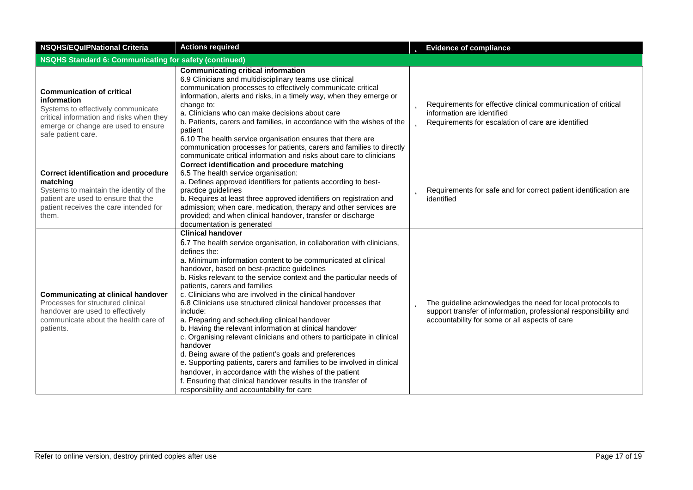| <b>NSQHS/EQuIPNational Criteria</b>                                                                                                                                                            | <b>Actions required</b>                                                                                                                                                                                                                                                                                                                                                                                                                                                                                                                                                                                                                                                                                                                                                                                                                                                                                                                                                                             | <b>b</b> Evidence of compliance                                                                                                                                                       |  |  |
|------------------------------------------------------------------------------------------------------------------------------------------------------------------------------------------------|-----------------------------------------------------------------------------------------------------------------------------------------------------------------------------------------------------------------------------------------------------------------------------------------------------------------------------------------------------------------------------------------------------------------------------------------------------------------------------------------------------------------------------------------------------------------------------------------------------------------------------------------------------------------------------------------------------------------------------------------------------------------------------------------------------------------------------------------------------------------------------------------------------------------------------------------------------------------------------------------------------|---------------------------------------------------------------------------------------------------------------------------------------------------------------------------------------|--|--|
|                                                                                                                                                                                                | <b>NSQHS Standard 6: Communicating for safety (continued)</b>                                                                                                                                                                                                                                                                                                                                                                                                                                                                                                                                                                                                                                                                                                                                                                                                                                                                                                                                       |                                                                                                                                                                                       |  |  |
| <b>Communication of critical</b><br>information<br>Systems to effectively communicate<br>critical information and risks when they<br>emerge or change are used to ensure<br>safe patient care. | <b>Communicating critical information</b><br>6.9 Clinicians and multidisciplinary teams use clinical<br>communication processes to effectively communicate critical<br>information, alerts and risks, in a timely way, when they emerge or<br>change to:<br>a. Clinicians who can make decisions about care<br>b. Patients, carers and families, in accordance with the wishes of the<br>patient<br>6.10 The health service organisation ensures that there are<br>communication processes for patients, carers and families to directly<br>communicate critical information and risks about care to clinicians                                                                                                                                                                                                                                                                                                                                                                                     | <b>D</b> Requirements for effective clinical communication of critical<br>information are identified<br><b>b</b> Requirements for escalation of care are identified                   |  |  |
| <b>Correct identification and procedure</b><br>matching<br>Systems to maintain the identity of the<br>patient are used to ensure that the<br>patient receives the care intended for<br>them.   | Correct identification and procedure matching<br>6.5 The health service organisation:<br>a. Defines approved identifiers for patients according to best-<br>practice guidelines<br>b. Requires at least three approved identifiers on registration and<br>admission; when care, medication, therapy and other services are<br>provided; and when clinical handover, transfer or discharge<br>documentation is generated                                                                                                                                                                                                                                                                                                                                                                                                                                                                                                                                                                             | Requirements for safe and for correct patient identification are<br>þ<br>identified                                                                                                   |  |  |
| <b>Communicating at clinical handover</b><br>Processes for structured clinical<br>handover are used to effectively<br>communicate about the health care of<br>patients.                        | <b>Clinical handover</b><br>6.7 The health service organisation, in collaboration with clinicians,<br>defines the:<br>a. Minimum information content to be communicated at clinical<br>handover, based on best-practice guidelines<br>b. Risks relevant to the service context and the particular needs of<br>patients, carers and families<br>c. Clinicians who are involved in the clinical handover<br>6.8 Clinicians use structured clinical handover processes that<br>include:<br>a. Preparing and scheduling clinical handover<br>b. Having the relevant information at clinical handover<br>c. Organising relevant clinicians and others to participate in clinical<br>handover<br>d. Being aware of the patient's goals and preferences<br>e. Supporting patients, carers and families to be involved in clinical<br>handover, in accordance with the wishes of the patient<br>f. Ensuring that clinical handover results in the transfer of<br>responsibility and accountability for care | The guideline acknowledges the need for local protocols to<br>b<br>support transfer of information, professional responsibility and<br>accountability for some or all aspects of care |  |  |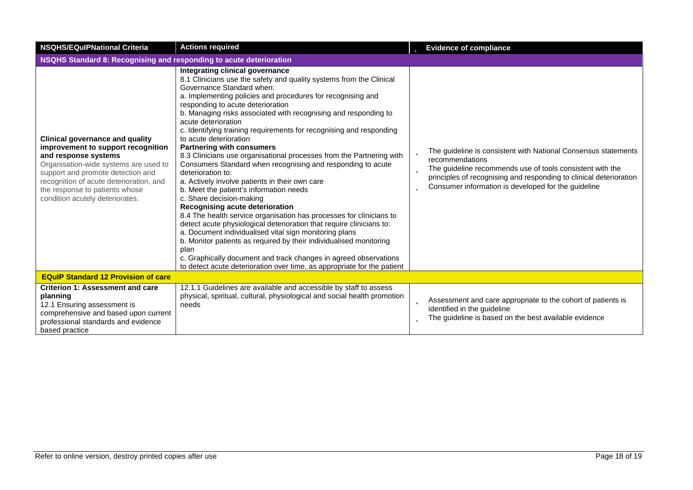| <b>NSQHS/EQuIPNational Criteria</b>                                                                                                                                                                                                                                                                | <b>Actions required</b>                                                                                                                                                                                                                                                                                                                                                                                                                                                                                                                                                                                                                                                                                                                                                                                                                                                                                                                                                                                                                                                                                                                                                                                                              | <b>b</b> Evidence of compliance                                                                                                                                                                                                                                                       |  |
|----------------------------------------------------------------------------------------------------------------------------------------------------------------------------------------------------------------------------------------------------------------------------------------------------|--------------------------------------------------------------------------------------------------------------------------------------------------------------------------------------------------------------------------------------------------------------------------------------------------------------------------------------------------------------------------------------------------------------------------------------------------------------------------------------------------------------------------------------------------------------------------------------------------------------------------------------------------------------------------------------------------------------------------------------------------------------------------------------------------------------------------------------------------------------------------------------------------------------------------------------------------------------------------------------------------------------------------------------------------------------------------------------------------------------------------------------------------------------------------------------------------------------------------------------|---------------------------------------------------------------------------------------------------------------------------------------------------------------------------------------------------------------------------------------------------------------------------------------|--|
| NSQHS Standard 8: Recognising and responding to acute deterioration                                                                                                                                                                                                                                |                                                                                                                                                                                                                                                                                                                                                                                                                                                                                                                                                                                                                                                                                                                                                                                                                                                                                                                                                                                                                                                                                                                                                                                                                                      |                                                                                                                                                                                                                                                                                       |  |
| <b>Clinical governance and quality</b><br>improvement to support recognition<br>and response systems<br>Organisation-wide systems are used to<br>support and promote detection and<br>recognition of acute deterioration, and<br>the response to patients whose<br>condition acutely deteriorates. | Integrating clinical governance<br>8.1 Clinicians use the safety and quality systems from the Clinical<br>Governance Standard when:<br>a. Implementing policies and procedures for recognising and<br>responding to acute deterioration<br>b. Managing risks associated with recognising and responding to<br>acute deterioration<br>c. Identifying training requirements for recognising and responding<br>to acute deterioration<br><b>Partnering with consumers</b><br>8.3 Clinicians use organisational processes from the Partnering with<br>Consumers Standard when recognising and responding to acute<br>deterioration to:<br>a. Actively involve patients in their own care<br>b. Meet the patient's information needs<br>c. Share decision-making<br>Recognising acute deterioration<br>8.4 The health service organisation has processes for clinicians to<br>detect acute physiological deterioration that require clinicians to:<br>a. Document individualised vital sign monitoring plans<br>b. Monitor patients as required by their individualised monitoring<br>plan<br>c. Graphically document and track changes in agreed observations<br>to detect acute deterioration over time, as appropriate for the patient | The guideline is consistent with National Consensus statements<br>recommendations<br>The guideline recommends use of tools consistent with the<br>b<br>principles of recognising and responding to clinical deterioration<br>Consumer information is developed for the guideline<br>b |  |
| <b>EQuIP Standard 12 Provision of care</b>                                                                                                                                                                                                                                                         |                                                                                                                                                                                                                                                                                                                                                                                                                                                                                                                                                                                                                                                                                                                                                                                                                                                                                                                                                                                                                                                                                                                                                                                                                                      |                                                                                                                                                                                                                                                                                       |  |
| <b>Criterion 1: Assessment and care</b><br>planning<br>12.1 Ensuring assessment is<br>comprehensive and based upon current<br>professional standards and evidence<br>based practice                                                                                                                | 12.1.1 Guidelines are available and accessible by staff to assess<br>physical, spiritual, cultural, physiological and social health promotion<br>needs                                                                                                                                                                                                                                                                                                                                                                                                                                                                                                                                                                                                                                                                                                                                                                                                                                                                                                                                                                                                                                                                               | b<br>Assessment and care appropriate to the cohort of patients is<br>identified in the guideline<br>The guideline is based on the best available evidence<br>b                                                                                                                        |  |